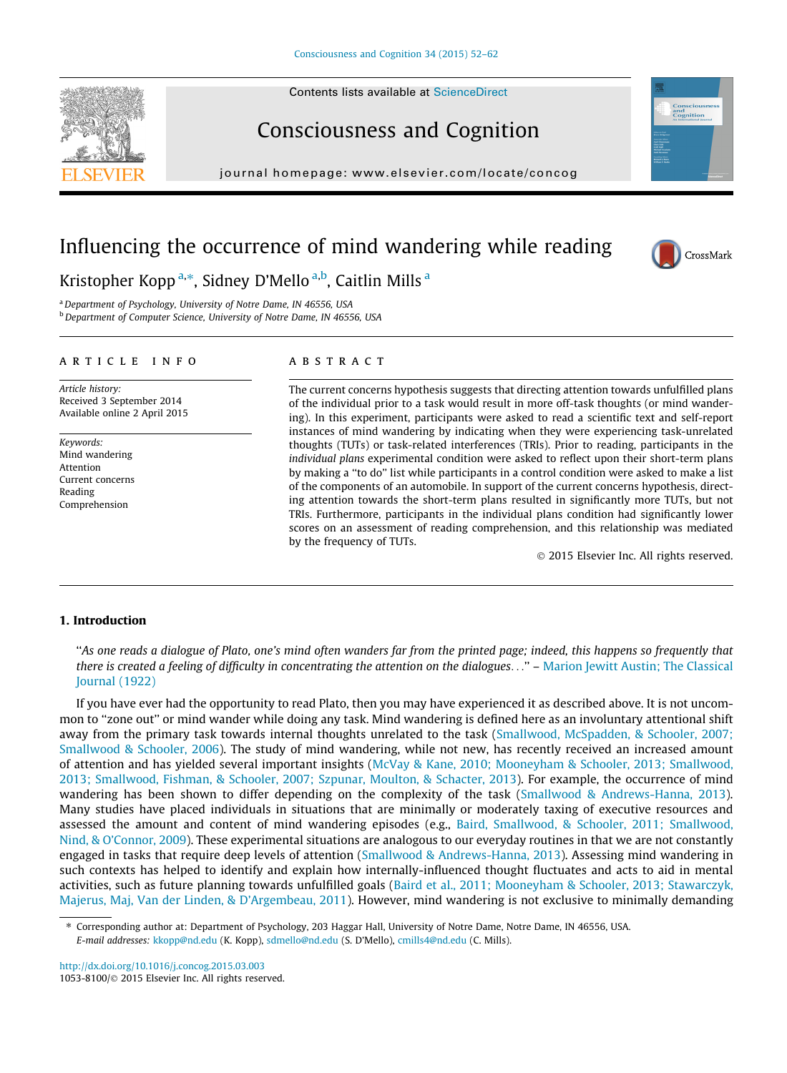Contents lists available at [ScienceDirect](http://www.sciencedirect.com/science/journal/10538100)





journal homepage: [www.elsevier.com/locate/concog](http://www.elsevier.com/locate/concog)

# Influencing the occurrence of mind wandering while reading



**Conscious**<br>and<br>Cognition

Kristopher Kopp<sup>a,\*</sup>, Sidney D'Mello<sup>a,b</sup>, Caitlin Mills<sup>a</sup>

<sup>a</sup> Department of Psychology, University of Notre Dame, IN 46556, USA

**b** Department of Computer Science, University of Notre Dame, IN 46556, USA

#### article info

Article history: Received 3 September 2014 Available online 2 April 2015

Keywords: Mind wandering Attention Current concerns Reading Comprehension

## **ABSTRACT**

The current concerns hypothesis suggests that directing attention towards unfulfilled plans of the individual prior to a task would result in more off-task thoughts (or mind wandering). In this experiment, participants were asked to read a scientific text and self-report instances of mind wandering by indicating when they were experiencing task-unrelated thoughts (TUTs) or task-related interferences (TRIs). Prior to reading, participants in the individual plans experimental condition were asked to reflect upon their short-term plans by making a ''to do'' list while participants in a control condition were asked to make a list of the components of an automobile. In support of the current concerns hypothesis, directing attention towards the short-term plans resulted in significantly more TUTs, but not TRIs. Furthermore, participants in the individual plans condition had significantly lower scores on an assessment of reading comprehension, and this relationship was mediated by the frequency of TUTs.

- 2015 Elsevier Inc. All rights reserved.

### 1. Introduction

''As one reads a dialogue of Plato, one's mind often wanders far from the printed page; indeed, this happens so frequently that there is created a feeling of difficulty in concentrating the attention on the dialogues..." – [Marion Jewitt Austin; The Classical](#page--1-0) [Journal \(1922\)](#page--1-0)

If you have ever had the opportunity to read Plato, then you may have experienced it as described above. It is not uncommon to ''zone out'' or mind wander while doing any task. Mind wandering is defined here as an involuntary attentional shift away from the primary task towards internal thoughts unrelated to the task ([Smallwood, McSpadden, & Schooler, 2007;](#page--1-0) [Smallwood & Schooler, 2006\)](#page--1-0). The study of mind wandering, while not new, has recently received an increased amount of attention and has yielded several important insights ([McVay & Kane, 2010; Mooneyham & Schooler, 2013; Smallwood,](#page--1-0) [2013; Smallwood, Fishman, & Schooler, 2007; Szpunar, Moulton, & Schacter, 2013\)](#page--1-0). For example, the occurrence of mind wandering has been shown to differ depending on the complexity of the task ([Smallwood & Andrews-Hanna, 2013](#page--1-0)). Many studies have placed individuals in situations that are minimally or moderately taxing of executive resources and assessed the amount and content of mind wandering episodes (e.g., [Baird, Smallwood, & Schooler, 2011; Smallwood,](#page--1-0) [Nind, & O'Connor, 2009\)](#page--1-0). These experimental situations are analogous to our everyday routines in that we are not constantly engaged in tasks that require deep levels of attention [\(Smallwood & Andrews-Hanna, 2013](#page--1-0)). Assessing mind wandering in such contexts has helped to identify and explain how internally-influenced thought fluctuates and acts to aid in mental activities, such as future planning towards unfulfilled goals [\(Baird et al., 2011; Mooneyham & Schooler, 2013; Stawarczyk,](#page--1-0) [Majerus, Maj, Van der Linden, & D'Argembeau, 2011](#page--1-0)). However, mind wandering is not exclusive to minimally demanding

Corresponding author at: Department of Psychology, 203 Haggar Hall, University of Notre Dame, Notre Dame, IN 46556, USA. E-mail addresses: [kkopp@nd.edu](mailto:kkopp@nd.edu) (K. Kopp), [sdmello@nd.edu](mailto:sdmello@nd.edu) (S. D'Mello), [cmills4@nd.edu](mailto:cmills4@nd.edu) (C. Mills).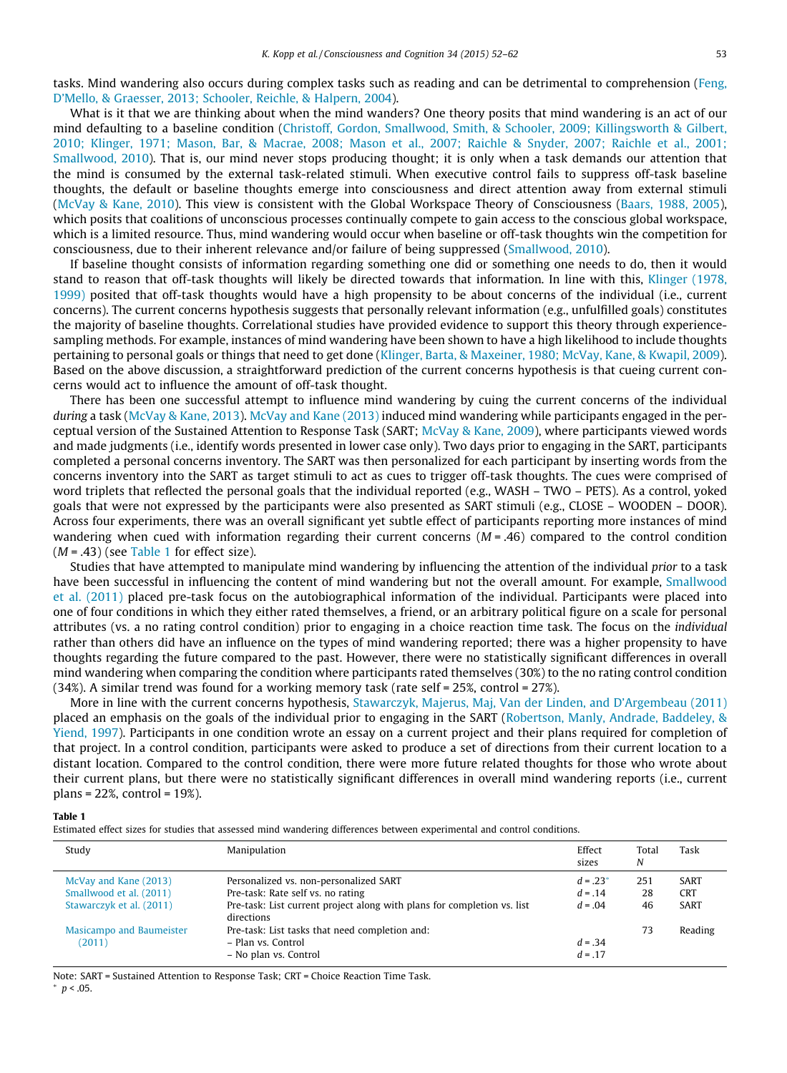tasks. Mind wandering also occurs during complex tasks such as reading and can be detrimental to comprehension [\(Feng,](#page--1-0) [D'Mello, & Graesser, 2013; Schooler, Reichle, & Halpern, 2004](#page--1-0)).

What is it that we are thinking about when the mind wanders? One theory posits that mind wandering is an act of our mind defaulting to a baseline condition ([Christoff, Gordon, Smallwood, Smith, & Schooler, 2009; Killingsworth & Gilbert,](#page--1-0) [2010; Klinger, 1971; Mason, Bar, & Macrae, 2008; Mason et al., 2007; Raichle & Snyder, 2007; Raichle et al., 2001;](#page--1-0) [Smallwood, 2010\)](#page--1-0). That is, our mind never stops producing thought; it is only when a task demands our attention that the mind is consumed by the external task-related stimuli. When executive control fails to suppress off-task baseline thoughts, the default or baseline thoughts emerge into consciousness and direct attention away from external stimuli ([McVay & Kane, 2010\)](#page--1-0). This view is consistent with the Global Workspace Theory of Consciousness ([Baars, 1988, 2005](#page--1-0)), which posits that coalitions of unconscious processes continually compete to gain access to the conscious global workspace, which is a limited resource. Thus, mind wandering would occur when baseline or off-task thoughts win the competition for consciousness, due to their inherent relevance and/or failure of being suppressed ([Smallwood, 2010](#page--1-0)).

If baseline thought consists of information regarding something one did or something one needs to do, then it would stand to reason that off-task thoughts will likely be directed towards that information. In line with this, [Klinger \(1978,](#page--1-0) [1999\)](#page--1-0) posited that off-task thoughts would have a high propensity to be about concerns of the individual (i.e., current concerns). The current concerns hypothesis suggests that personally relevant information (e.g., unfulfilled goals) constitutes the majority of baseline thoughts. Correlational studies have provided evidence to support this theory through experiencesampling methods. For example, instances of mind wandering have been shown to have a high likelihood to include thoughts pertaining to personal goals or things that need to get done [\(Klinger, Barta, & Maxeiner, 1980; McVay, Kane, & Kwapil, 2009](#page--1-0)). Based on the above discussion, a straightforward prediction of the current concerns hypothesis is that cueing current concerns would act to influence the amount of off-task thought.

There has been one successful attempt to influence mind wandering by cuing the current concerns of the individual during a task [\(McVay & Kane, 2013\)](#page--1-0). [McVay and Kane \(2013\)](#page--1-0) induced mind wandering while participants engaged in the perceptual version of the Sustained Attention to Response Task (SART; [McVay & Kane, 2009\)](#page--1-0), where participants viewed words and made judgments (i.e., identify words presented in lower case only). Two days prior to engaging in the SART, participants completed a personal concerns inventory. The SART was then personalized for each participant by inserting words from the concerns inventory into the SART as target stimuli to act as cues to trigger off-task thoughts. The cues were comprised of word triplets that reflected the personal goals that the individual reported (e.g., WASH – TWO – PETS). As a control, yoked goals that were not expressed by the participants were also presented as SART stimuli (e.g., CLOSE – WOODEN – DOOR). Across four experiments, there was an overall significant yet subtle effect of participants reporting more instances of mind wandering when cued with information regarding their current concerns  $(M = .46)$  compared to the control condition  $(M = .43)$  (see Table 1 for effect size).

Studies that have attempted to manipulate mind wandering by influencing the attention of the individual prior to a task have been successful in influencing the content of mind wandering but not the overall amount. For example, [Smallwood](#page--1-0) [et al. \(2011\)](#page--1-0) placed pre-task focus on the autobiographical information of the individual. Participants were placed into one of four conditions in which they either rated themselves, a friend, or an arbitrary political figure on a scale for personal attributes (vs. a no rating control condition) prior to engaging in a choice reaction time task. The focus on the individual rather than others did have an influence on the types of mind wandering reported; there was a higher propensity to have thoughts regarding the future compared to the past. However, there were no statistically significant differences in overall mind wandering when comparing the condition where participants rated themselves (30%) to the no rating control condition  $(34%)$ . A similar trend was found for a working memory task (rate self = 25%, control = 27%).

More in line with the current concerns hypothesis, [Stawarczyk, Majerus, Maj, Van der Linden, and D'Argembeau \(2011\)](#page--1-0) placed an emphasis on the goals of the individual prior to engaging in the SART [\(Robertson, Manly, Andrade, Baddeley, &](#page--1-0) [Yiend, 1997](#page--1-0)). Participants in one condition wrote an essay on a current project and their plans required for completion of that project. In a control condition, participants were asked to produce a set of directions from their current location to a distant location. Compared to the control condition, there were more future related thoughts for those who wrote about their current plans, but there were no statistically significant differences in overall mind wandering reports (i.e., current plans = 22%, control = 19%).

Table 1

Estimated effect sizes for studies that assessed mind wandering differences between experimental and control conditions.

| Study                              | Manipulation                                                                                  | Effect<br>sizes       | Total<br>N | Task        |
|------------------------------------|-----------------------------------------------------------------------------------------------|-----------------------|------------|-------------|
| McVay and Kane (2013)              | Personalized vs. non-personalized SART                                                        | $d = .23*$            | 251        | SART        |
| Smallwood et al. (2011)            | Pre-task: Rate self vs. no rating                                                             | $d = .14$             | 28         | <b>CRT</b>  |
| Stawarczyk et al. (2011)           | Pre-task: List current project along with plans for completion vs. list<br>directions         | $d = .04$             | 46         | <b>SART</b> |
| Masicampo and Baumeister<br>(2011) | Pre-task: List tasks that need completion and:<br>– Plan vs. Control<br>- No plan vs. Control | $d = 34$<br>$d = .17$ | 73         | Reading     |

Note: SART = Sustained Attention to Response Task; CRT = Choice Reaction Time Task.

 $n < 05$